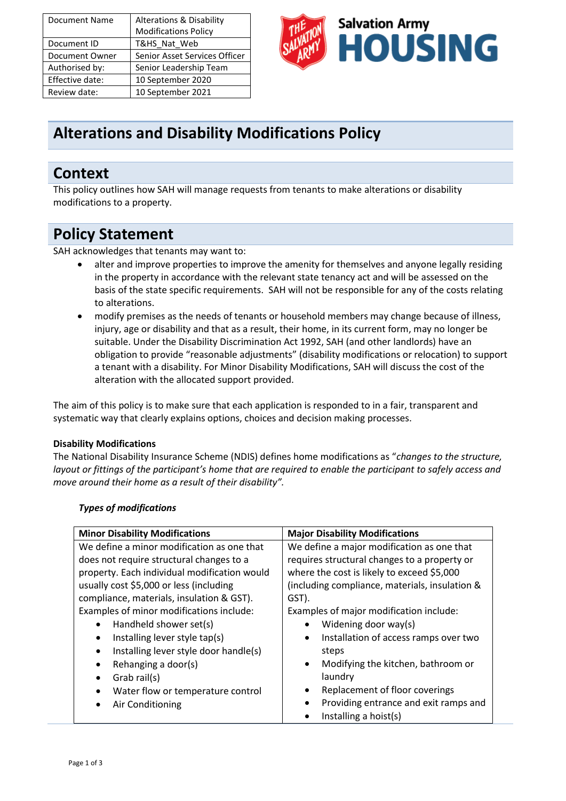| <b>Document Name</b> | <b>Alterations &amp; Disability</b> |
|----------------------|-------------------------------------|
|                      | <b>Modifications Policy</b>         |
| Document ID          | T&HS_Nat_Web                        |
| Document Owner       | Senior Asset Services Officer       |
| Authorised by:       | Senior Leadership Team              |
| Effective date:      | 10 September 2020                   |
| Review date:         | 10 September 2021                   |



# **Alterations and Disability Modifications Policy**

### **Context**

This policy outlines how SAH will manage requests from tenants to make alterations or disability modifications to a property.

## **Policy Statement**

SAH acknowledges that tenants may want to:

- alter and improve properties to improve the amenity for themselves and anyone legally residing in the property in accordance with the relevant state tenancy act and will be assessed on the basis of the state specific requirements. SAH will not be responsible for any of the costs relating to alterations.
- modify premises as the needs of tenants or household members may change because of illness, injury, age or disability and that as a result, their home, in its current form, may no longer be suitable. Under the Disability Discrimination Act 1992, SAH (and other landlords) have an obligation to provide "reasonable adjustments" (disability modifications or relocation) to support a tenant with a disability. For Minor Disability Modifications, SAH will discuss the cost of the alteration with the allocated support provided.

The aim of this policy is to make sure that each application is responded to in a fair, transparent and systematic way that clearly explains options, choices and decision making processes.

#### **Disability Modifications**

The National Disability Insurance Scheme (NDIS) defines home modifications as "*changes to the structure, layout or fittings of the participant's home that are required to enable the participant to safely access and move around their home as a result of their disability".*

| <b>Minor Disability Modifications</b>              | <b>Major Disability Modifications</b>              |
|----------------------------------------------------|----------------------------------------------------|
| We define a minor modification as one that         | We define a major modification as one that         |
| does not require structural changes to a           | requires structural changes to a property or       |
| property. Each individual modification would       | where the cost is likely to exceed \$5,000         |
| usually cost \$5,000 or less (including            | (including compliance, materials, insulation &     |
| compliance, materials, insulation & GST).          | GST).                                              |
| Examples of minor modifications include:           | Examples of major modification include:            |
| Handheld shower set(s)<br>٠                        | Widening door way(s)                               |
| Installing lever style tap(s)<br>٠                 | Installation of access ramps over two<br>$\bullet$ |
| Installing lever style door handle(s)<br>$\bullet$ | steps                                              |
| Rehanging a door(s)<br>$\bullet$                   | Modifying the kitchen, bathroom or<br>$\bullet$    |
| Grab rail(s)<br>$\bullet$                          | laundry                                            |
| Water flow or temperature control                  | Replacement of floor coverings                     |
| Air Conditioning                                   | Providing entrance and exit ramps and<br>$\bullet$ |
|                                                    | Installing a hoist(s)                              |

#### *Types of modifications*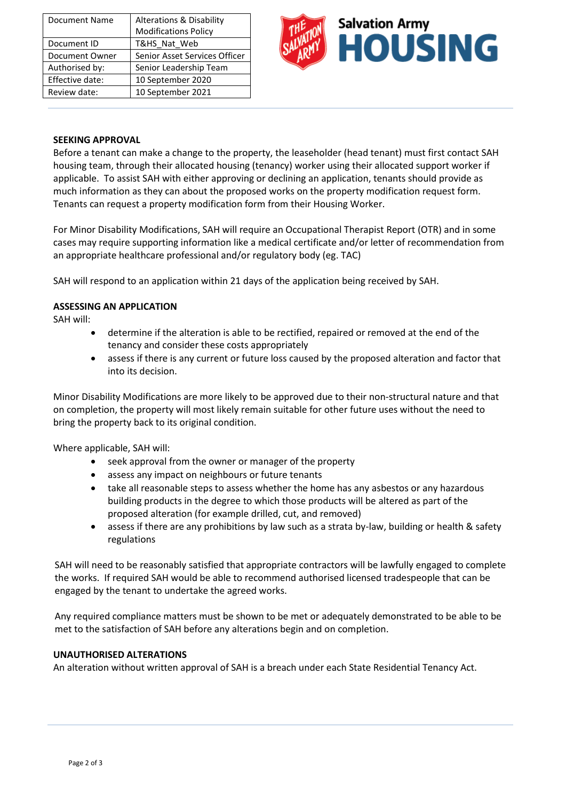| Document Name   | <b>Alterations &amp; Disability</b> |
|-----------------|-------------------------------------|
|                 | <b>Modifications Policy</b>         |
| Document ID     | T&HS_Nat_Web                        |
| Document Owner  | Senior Asset Services Officer       |
| Authorised by:  | Senior Leadership Team              |
| Effective date: | 10 September 2020                   |
| Review date:    | 10 September 2021                   |



#### **SEEKING APPROVAL**

Before a tenant can make a change to the property, the leaseholder (head tenant) must first contact SAH housing team, through their allocated housing (tenancy) worker using their allocated support worker if applicable. To assist SAH with either approving or declining an application, tenants should provide as much information as they can about the proposed works on the property modification request form. Tenants can request a property modification form from their Housing Worker.

For Minor Disability Modifications, SAH will require an Occupational Therapist Report (OTR) and in some cases may require supporting information like a medical certificate and/or letter of recommendation from an appropriate healthcare professional and/or regulatory body (eg. TAC)

SAH will respond to an application within 21 days of the application being received by SAH.

#### **ASSESSING AN APPLICATION**

SAH will:

- determine if the alteration is able to be rectified, repaired or removed at the end of the tenancy and consider these costs appropriately
- assess if there is any current or future loss caused by the proposed alteration and factor that into its decision.

Minor Disability Modifications are more likely to be approved due to their non-structural nature and that on completion, the property will most likely remain suitable for other future uses without the need to bring the property back to its original condition.

Where applicable, SAH will:

- seek approval from the owner or manager of the property
- assess any impact on neighbours or future tenants
- take all reasonable steps to assess whether the home has any asbestos or any hazardous building products in the degree to which those products will be altered as part of the proposed alteration (for example drilled, cut, and removed)
- assess if there are any prohibitions by law such as a strata by-law, building or health & safety regulations

SAH will need to be reasonably satisfied that appropriate contractors will be lawfully engaged to complete the works. If required SAH would be able to recommend authorised licensed tradespeople that can be engaged by the tenant to undertake the agreed works.

Any required compliance matters must be shown to be met or adequately demonstrated to be able to be met to the satisfaction of SAH before any alterations begin and on completion.

#### **UNAUTHORISED ALTERATIONS**

An alteration without written approval of SAH is a breach under each State Residential Tenancy Act.